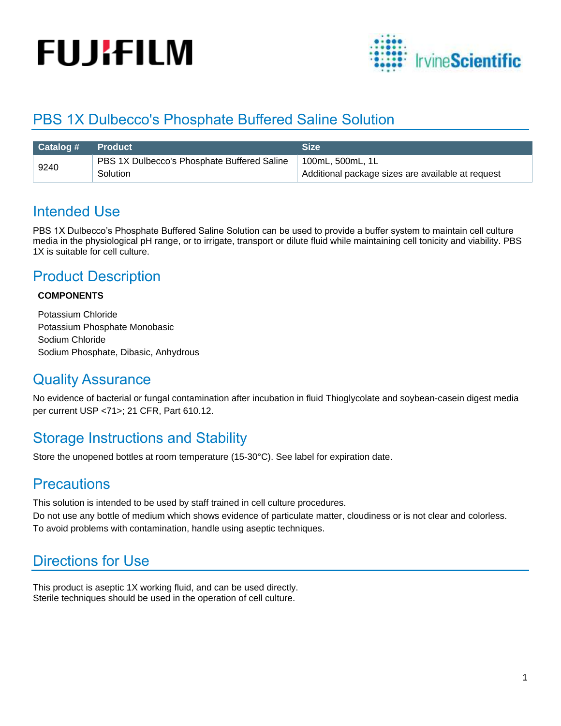# **FUJIFILM**



## PBS 1X Dulbecco's Phosphate Buffered Saline Solution

| $\sqrt{$ Catalog # $\sqrt{ }$ | <b>Product</b>                              | <b>Size</b>                                       |
|-------------------------------|---------------------------------------------|---------------------------------------------------|
| 9240                          | PBS 1X Dulbecco's Phosphate Buffered Saline | 100mL, 500mL, 1L                                  |
|                               | Solution                                    | Additional package sizes are available at request |

## Intended Use

PBS 1X Dulbecco's Phosphate Buffered Saline Solution can be used to provide a buffer system to maintain cell culture media in the physiological pH range, or to irrigate, transport or dilute fluid while maintaining cell tonicity and viability. PBS 1X is suitable for cell culture.

## Product Description

#### **COMPONENTS**

Potassium Chloride Potassium Phosphate Monobasic Sodium Chloride Sodium Phosphate, Dibasic, Anhydrous

#### Quality Assurance

No evidence of bacterial or fungal contamination after incubation in fluid Thioglycolate and soybean-casein digest media per current USP <71>; 21 CFR, Part 610.12.

### Storage Instructions and Stability

Store the unopened bottles at room temperature (15-30°C). See label for expiration date.

### **Precautions**

This solution is intended to be used by staff trained in cell culture procedures.

Do not use any bottle of medium which shows evidence of particulate matter, cloudiness or is not clear and colorless. To avoid problems with contamination, handle using aseptic techniques.

## Directions for Use

This product is aseptic 1X working fluid, and can be used directly. Sterile techniques should be used in the operation of cell culture.